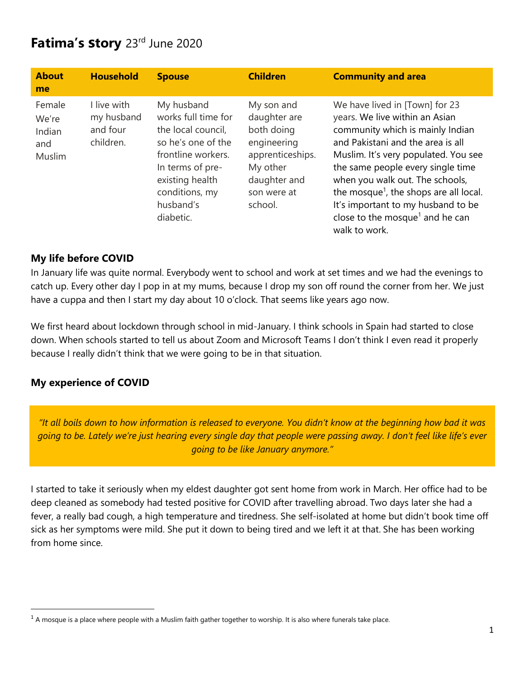# **Fatima's story** 23rd June 2020

| <b>About</b><br>me                                | <b>Household</b>                                   | <b>Spouse</b>                                                                                                                                                                          | <b>Children</b>                                                                                                                   | <b>Community and area</b>                                                                                                                                                                                                                                                                                                                                                                                             |
|---------------------------------------------------|----------------------------------------------------|----------------------------------------------------------------------------------------------------------------------------------------------------------------------------------------|-----------------------------------------------------------------------------------------------------------------------------------|-----------------------------------------------------------------------------------------------------------------------------------------------------------------------------------------------------------------------------------------------------------------------------------------------------------------------------------------------------------------------------------------------------------------------|
| Female<br>We're<br>Indian<br>and<br><b>Muslim</b> | I live with<br>my husband<br>and four<br>children. | My husband<br>works full time for<br>the local council,<br>so he's one of the<br>frontline workers.<br>In terms of pre-<br>existing health<br>conditions, my<br>husband's<br>diabetic. | My son and<br>daughter are<br>both doing<br>engineering<br>apprenticeships.<br>My other<br>daughter and<br>son were at<br>school. | We have lived in [Town] for 23<br>years. We live within an Asian<br>community which is mainly Indian<br>and Pakistani and the area is all<br>Muslim. It's very populated. You see<br>the same people every single time<br>when you walk out. The schools,<br>the mosque <sup>1</sup> , the shops are all local.<br>It's important to my husband to be<br>close to the mosque <sup>1</sup> and he can<br>walk to work. |

### **My life before COVID**

In January life was quite normal. Everybody went to school and work at set times and we had the evenings to catch up. Every other day I pop in at my mums, because I drop my son off round the corner from her. We just have a cuppa and then I start my day about 10 o'clock. That seems like years ago now.

We first heard about lockdown through school in mid-January. I think schools in Spain had started to close down. When schools started to tell us about Zoom and Microsoft Teams I don't think I even read it properly because I really didn't think that we were going to be in that situation.

## **My experience of COVID**

*"It all boils down to how information is released to everyone. You didn't know at the beginning how bad it was going to be. Lately we're just hearing every single day that people were passing away. I don't feel like life's ever going to be like January anymore."*

I started to take it seriously when my eldest daughter got sent home from work in March. Her office had to be deep cleaned as somebody had tested positive for COVID after travelling abroad. Two days later she had a fever, a really bad cough, a high temperature and tiredness. She self-isolated at home but didn't book time off sick as her symptoms were mild. She put it down to being tired and we left it at that. She has been working from home since.

 $1$  A mosque is a place where people with a Muslim faith gather together to worship. It is also where funerals take place.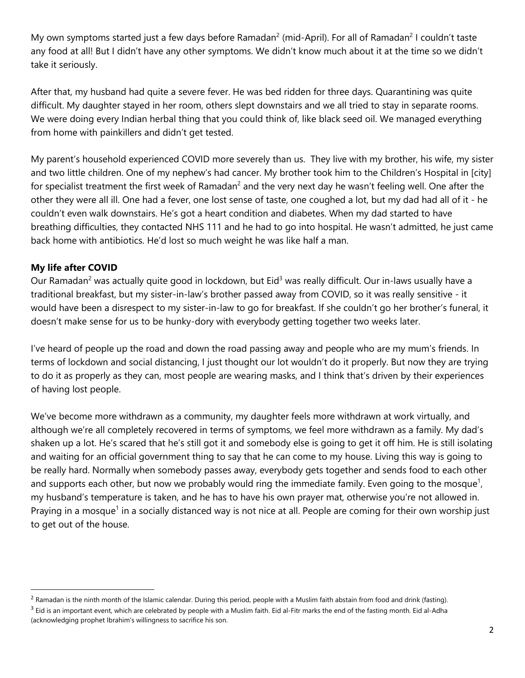My own symptoms started just a few days before Ramadan<sup>2</sup> (mid-April). For all of Ramadan<sup>2</sup> I couldn't taste any food at all! But I didn't have any other symptoms. We didn't know much about it at the time so we didn't take it seriously.

After that, my husband had quite a severe fever. He was bed ridden for three days. Quarantining was quite difficult. My daughter stayed in her room, others slept downstairs and we all tried to stay in separate rooms. We were doing every Indian herbal thing that you could think of, like black seed oil. We managed everything from home with painkillers and didn't get tested.

My parent's household experienced COVID more severely than us. They live with my brother, his wife, my sister and two little children. One of my nephew's had cancer. My brother took him to the Children's Hospital in [city] for specialist treatment the first week of Ramadan<sup>2</sup> and the very next day he wasn't feeling well. One after the other they were all ill. One had a fever, one lost sense of taste, one coughed a lot, but my dad had all of it - he couldn't even walk downstairs. He's got a heart condition and diabetes. When my dad started to have breathing difficulties, they contacted NHS 111 and he had to go into hospital. He wasn't admitted, he just came back home with antibiotics. He'd lost so much weight he was like half a man.

#### **My life after COVID**

Our Ramadan<sup>2</sup> was actually quite good in lockdown, but Eid<sup>3</sup> was really difficult. Our in-laws usually have a traditional breakfast, but my sister-in-law's brother passed away from COVID, so it was really sensitive - it would have been a disrespect to my sister-in-law to go for breakfast. If she couldn't go her brother's funeral, it doesn't make sense for us to be hunky-dory with everybody getting together two weeks later.

I've heard of people up the road and down the road passing away and people who are my mum's friends. In terms of lockdown and social distancing, I just thought our lot wouldn't do it properly. But now they are trying to do it as properly as they can, most people are wearing masks, and I think that's driven by their experiences of having lost people.

We've become more withdrawn as a community, my daughter feels more withdrawn at work virtually, and although we're all completely recovered in terms of symptoms, we feel more withdrawn as a family. My dad's shaken up a lot. He's scared that he's still got it and somebody else is going to get it off him. He is still isolating and waiting for an official government thing to say that he can come to my house. Living this way is going to be really hard. Normally when somebody passes away, everybody gets together and sends food to each other and supports each other, but now we probably would ring the immediate family. Even going to the mosque<sup>1</sup>, my husband's temperature is taken, and he has to have his own prayer mat, otherwise you're not allowed in. Praying in a mosque<sup>1</sup> in a socially distanced way is not nice at all. People are coming for their own worship just to get out of the house.

 $<sup>2</sup>$  Ramadan is the ninth month of the Islamic calendar. During this period, people with a Muslim faith abstain from food and drink (fasting).</sup>

 $3$  Eid is an important event, which are celebrated by people with a Muslim faith. Eid al-Fitr marks the end of the fasting month. Eid al-Adha (acknowledging prophet Ibrahim's willingness to sacrifice his son.